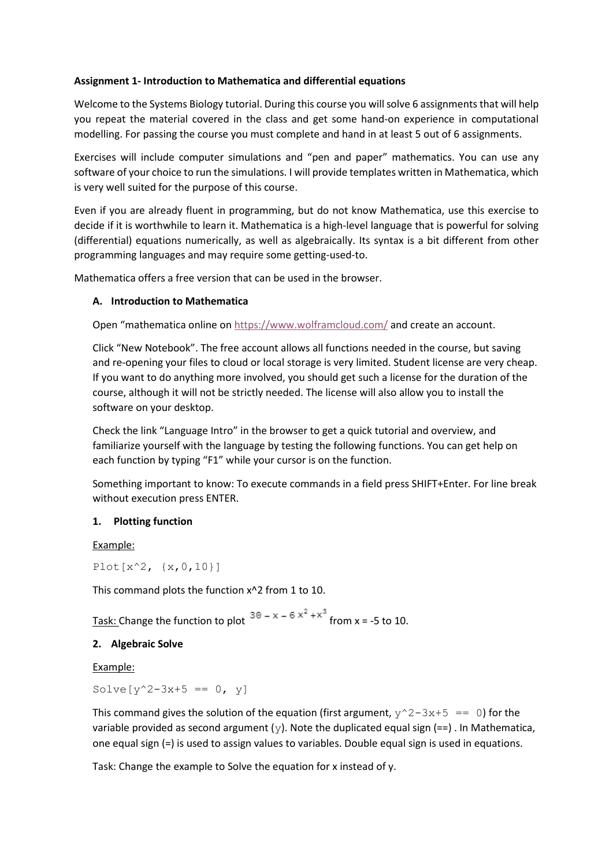## **Assignment 1- Introduction to Mathematica and differential equations**

Welcome to the Systems Biology tutorial. During this course you will solve 6 assignments that will help you repeat the material covered in the class and get some hand-on experience in computational modelling. For passing the course you must complete and hand in at least 5 out of 6 assignments.

Exercises will include computer simulations and "pen and paper" mathematics. You can use any software of your choice to run the simulations. I will provide templates written in Mathematica, which is very well suited for the purpose of this course.

Even if you are already fluent in programming, but do not know Mathematica, use this exercise to decide if it is worthwhile to learn it. Mathematica is a high-level language that is powerful for solving (differential) equations numerically, as well as algebraically. Its syntax is a bit different from other programming languages and may require some getting-used-to.

Mathematica offers a free version that can be used in the browser.

# **A. Introduction to Mathematica**

Open "mathematica online o[n https://www.wolframcloud.com/](https://www.wolframcloud.com/) and create an account.

Click "New Notebook". The free account allows all functions needed in the course, but saving and re-opening your files to cloud or local storage is very limited. Student license are very cheap. If you want to do anything more involved, you should get such a license for the duration of the course, although it will not be strictly needed. The license will also allow you to install the software on your desktop.

Check the link "Language Intro" in the browser to get a quick tutorial and overview, and familiarize yourself with the language by testing the following functions. You can get help on each function by typing "F1" while your cursor is on the function.

Something important to know: To execute commands in a field press SHIFT+Enter. For line break without execution press ENTER.

# **1. Plotting function**

Example:

 $Plot[x^2, {x, 0, 10}]$ 

This command plots the function x^2 from 1 to 10.

Task: Change the function to plot  $30 - x - 6x^2 + x^3$  from x = -5 to 10.

## **2. Algebraic Solve**

Example:

Solve  $[y^2-3x+5 == 0, y]$ 

This command gives the solution of the equation (first argument,  $y^2-3x+5 == 0$ ) for the variable provided as second argument ( $\vee$ ). Note the duplicated equal sign (==). In Mathematica, one equal sign (=) is used to assign values to variables. Double equal sign is used in equations.

Task: Change the example to Solve the equation for x instead of y.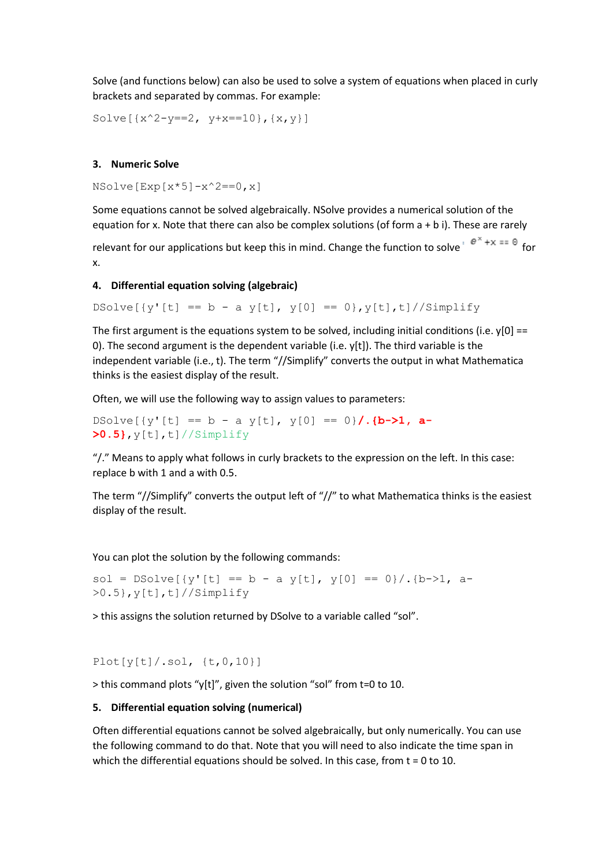Solve (and functions below) can also be used to solve a system of equations when placed in curly brackets and separated by commas. For example:

Solve $[\{x^2-y==2, y+x==10\}, \{x,y\}]$ 

### **3. Numeric Solve**

 $NSolve[Exp[x*5]-x^2=-0,x]$ 

Some equations cannot be solved algebraically. NSolve provides a numerical solution of the equation for x. Note that there can also be complex solutions (of form a + b i). These are rarely

relevant for our applications but keep this in mind. Change the function to solve  $e^{i\theta x} + x = 0$  for x.

#### **4. Differential equation solving (algebraic)**

DSolve[{y'[t] == b - a y[t], y[0] == 0}, y[t], t]//Simplify

The first argument is the equations system to be solved, including initial conditions (i.e.  $y[0] ==$ 0). The second argument is the dependent variable (i.e.  $y[t]$ ). The third variable is the independent variable (i.e., t). The term "//Simplify" converts the output in what Mathematica thinks is the easiest display of the result.

Often, we will use the following way to assign values to parameters:

DSolve $[\{y'[t] == b - a \ y[t], \ y[0] == 0\}$ .  $\{b-\ge 1, a-$ **>0.5}**,y[t],t]//Simplify

"/." Means to apply what follows in curly brackets to the expression on the left. In this case: replace b with 1 and a with 0.5.

The term "//Simplify" converts the output left of "//" to what Mathematica thinks is the easiest display of the result.

You can plot the solution by the following commands:

sol = DSolve[{y'[t] == b - a y[t], y[0] == 0}/.{b->1, a->0.5},y[t],t]//Simplify

> this assigns the solution returned by DSolve to a variable called "sol".

 $Plot[y[t]/.sol, {t, 0, 10}]$ 

> this command plots "y[t]", given the solution "sol" from t=0 to 10.

### **5. Differential equation solving (numerical)**

Often differential equations cannot be solved algebraically, but only numerically. You can use the following command to do that. Note that you will need to also indicate the time span in which the differential equations should be solved. In this case, from  $t = 0$  to 10.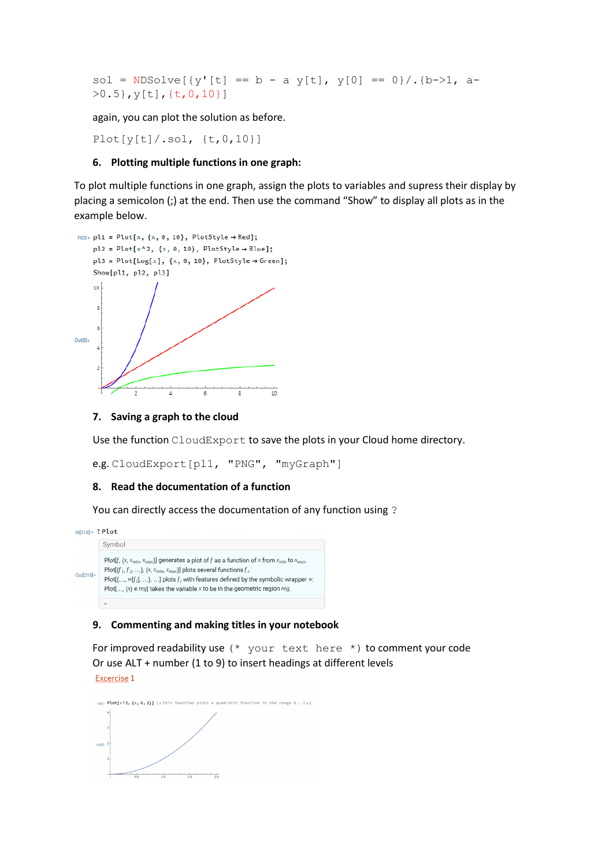sol = NDSolve[{y'[t] == b - a y[t], y[0] == 0}/.{b->1, a->0.5},y[t],{t,0,10}]

again, you can plot the solution as before.

 $Plot[y[t]/.sol, {t, 0, 10}]$ 

### **6. Plotting multiple functions in one graph:**

To plot multiple functions in one graph, assign the plots to variables and supress their display by placing a semicolon (;) at the end. Then use the command "Show" to display all plots as in the example below.



#### **7. Saving a graph to the cloud**

Use the function CloudExport to save the plots in your Cloud home directory.

e.g. CloudExport[pl1, "PNG", "myGraph"]

#### **8. Read the documentation of a function**

You can directly access the documentation of any function using ?

 $In[318]:= ? Plot$ Symbol Plot[f, {x,  $x_{min}$ ,  $x_{max}$ }] generates a plot of f as a function of x from  $x_{min}$  to  $x_{max}$ . Plot[ $\{f_1, f_2, ...\}$ ,  $\{X, X_{min}, X_{max}\}$ ] plots several functions  $f_i$ .  $Out[318]=$ Plot $\{\ldots, w[f_i], \ldots\}$ , ...] plots  $f_i$  with features defined by the symbolic wrapper w. Plot[...,  $\{x\} \in reg$ ] takes the variable  $x$  to be in the geometric region reg.

### **9. Commenting and making titles in your notebook**

For improved readability use  $(*$  your text here  $*)$  to comment your code Or use ALT + number (1 to 9) to insert headings at different levelsExcercise 1

 $\text{m2}$  Plot[x^2, {x, 0, 2}] (\*this function plots a quadratic function in the range 0..2\*)